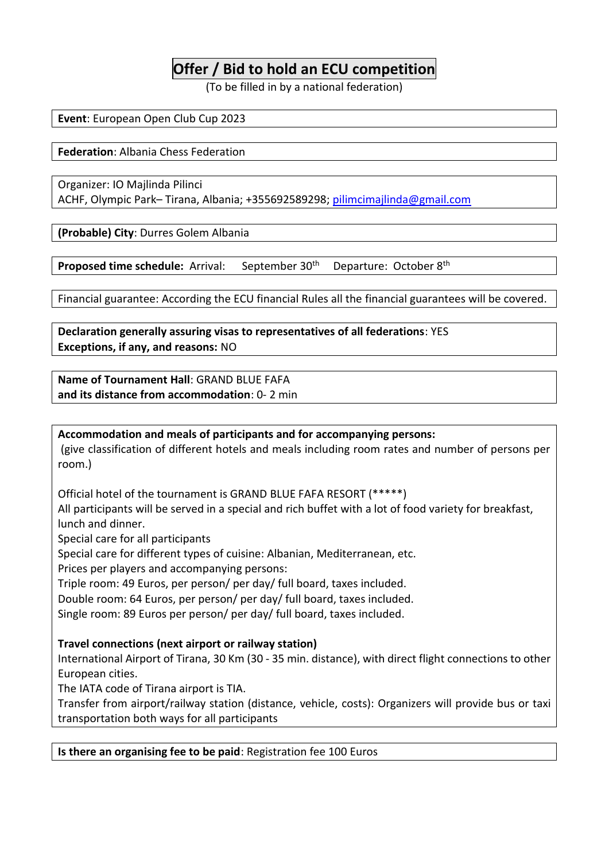## **Offer / Bid to hold an ECU competition**

(To be filled in by a national federation)

**Event**: European Open Club Cup 2023

**Federation**: Albania Chess Federation

Organizer: IO Majlinda Pilinci ACHF, Olympic Park– Tirana, Albania; +355692589298; [pilimcimajlinda@gmail.com](mailto:pilimcimajlinda@gmail.com)

**(Probable) City**: Durres Golem Albania

**Proposed time schedule:** Arrival: September 30<sup>th</sup> Departure: October 8<sup>th</sup>

Financial guarantee: According the ECU financial Rules all the financial guarantees will be covered.

**Declaration generally assuring visas to representatives of all federations**: YES **Exceptions, if any, and reasons:** NO

**Name of Tournament Hall**: GRAND BLUE FAFA **and its distance from accommodation**: 0- 2 min

**Accommodation and meals of participants and for accompanying persons:** (give classification of different hotels and meals including room rates and number of persons per room.)

Official hotel of the tournament is GRAND BLUE FAFA RESORT (\*\*\*\*\*)

All participants will be served in a special and rich buffet with a lot of food variety for breakfast, lunch and dinner.

Special care for all participants

Special care for different types of cuisine: Albanian, Mediterranean, etc.

Prices per players and accompanying persons:

Triple room: 49 Euros, per person/ per day/ full board, taxes included.

Double room: 64 Euros, per person/ per day/ full board, taxes included.

Single room: 89 Euros per person/ per day/ full board, taxes included.

#### **Travel connections (next airport or railway station)**

International Airport of Tirana, 30 Km (30 - 35 min. distance), with direct flight connections to other European cities.

The IATA code of Tirana airport is TIA.

Transfer from airport/railway station (distance, vehicle, costs): Organizers will provide bus or taxi transportation both ways for all participants

#### **Is there an organising fee to be paid**: Registration fee 100 Euros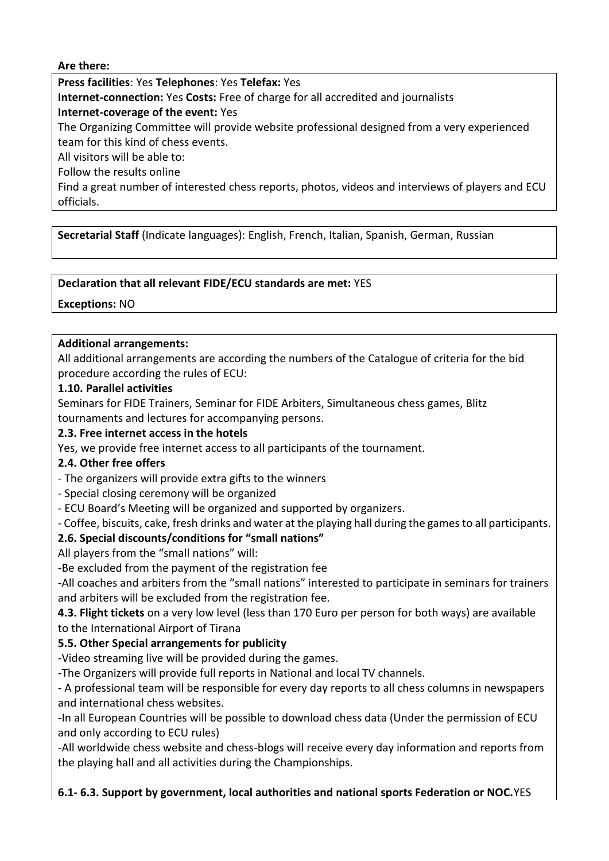#### **Are there:**

**Press facilities**: Yes **Telephones**: Yes **Telefax:** Yes

**Internet-connection:** Yes **Costs:** Free of charge for all accredited and journalists

**Internet-coverage of the event:** Yes

The Organizing Committee will provide website professional designed from a very experienced team for this kind of chess events.

All visitors will be able to:

Follow the results online

Find a great number of interested chess reports, photos, videos and interviews of players and ECU officials.

**Secretarial Staff** (Indicate languages): English, French, Italian, Spanish, German, Russian

#### **Declaration that all relevant FIDE/ECU standards are met:** YES

**Exceptions:** NO

#### **Additional arrangements:**

All additional arrangements are according the numbers of the Catalogue of criteria for the bid procedure according the rules of ECU:

#### **1.10. Parallel activities**

Seminars for FIDE Trainers, Seminar for FIDE Arbiters, Simultaneous chess games, Blitz tournaments and lectures for accompanying persons.

#### **2.3. Free internet access in the hotels**

Yes, we provide free internet access to all participants of the tournament.

#### **2.4. Other free offers**

- The organizers will provide extra gifts to the winners

- Special closing ceremony will be organized
- ECU Board's Meeting will be organized and supported by organizers.

- Coffee, biscuits, cake, fresh drinks and water at the playing hall during the games to all participants.

## **2.6. Special discounts/conditions for "small nations"**

All players from the "small nations" will:

-Be excluded from the payment of the registration fee

-All coaches and arbiters from the "small nations" interested to participate in seminars for trainers and arbiters will be excluded from the registration fee.

**4.3. Flight tickets** on a very low level (less than 170 Euro per person for both ways) are available to the International Airport of Tirana

## **5.5. Other Special arrangements for publicity**

-Video streaming live will be provided during the games.

-The Organizers will provide full reports in National and local TV channels.

- A professional team will be responsible for every day reports to all chess columns in newspapers and international chess websites.

-In all European Countries will be possible to download chess data (Under the permission of ECU and only according to ECU rules)

-All worldwide chess website and chess-blogs will receive every day information and reports from the playing hall and all activities during the Championships.

**6.1- 6.3. Support by government, local authorities and national sports Federation or NOC.**YES